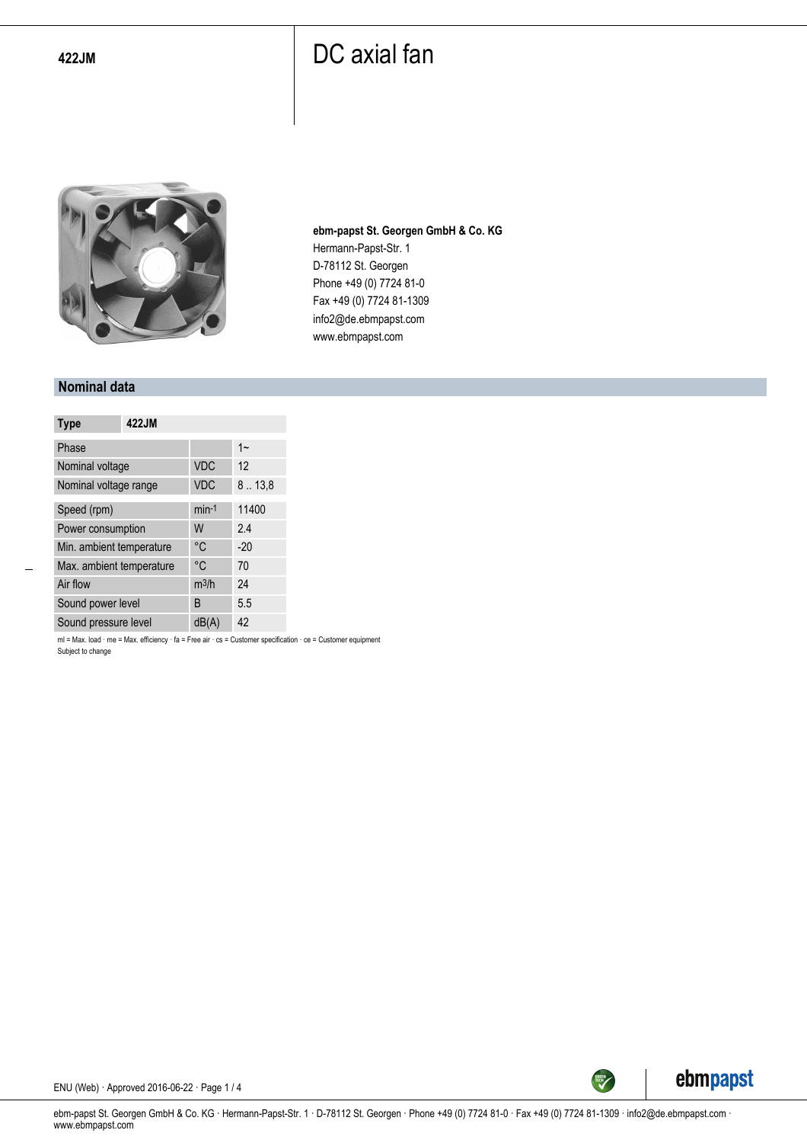

**ebm-papst St. Georgen GmbH & Co. KG** Hermann-Papst-Str. 1 D-78112 St. Georgen Phone +49 (0) 7724 81-0 Fax +49 (0) 7724 81-1309 info2@de.ebmpapst.com www.ebmpapst.com

#### **Nominal data**

| <b>Type</b>              | 422JM |                   |        |
|--------------------------|-------|-------------------|--------|
| Phase                    |       |                   | $1 -$  |
| Nominal voltage          |       | <b>VDC</b>        | 12     |
| Nominal voltage range    |       | <b>VDC</b>        | 8.13,8 |
| Speed (rpm)              |       | $min-1$           | 11400  |
| Power consumption        |       | W                 | 2.4    |
| Min. ambient temperature |       | °C                | $-20$  |
| Max. ambient temperature |       | °C                | 70     |
| Air flow                 |       | m <sup>3</sup> /h | 24     |
| Sound power level        |       | B                 | 5.5    |
| Sound pressure level     |       | dB(A)             | 42     |

ml = Max. load · me = Max. efficiency · fa = Free air · cs = Customer specification · ce = Customer equipment Subject to change



ENU (Web) · Approved 2016-06-22 · Page 1 / 4

ebm-papst St. Georgen GmbH & Co. KG · Hermann-Papst-Str. 1 · D-78112 St. Georgen · Phone +49 (0) 7724 81-0 · Fax +49 (0) 7724 81-1309 · info2@de.ebmpapst.com · www.ebmpapst.com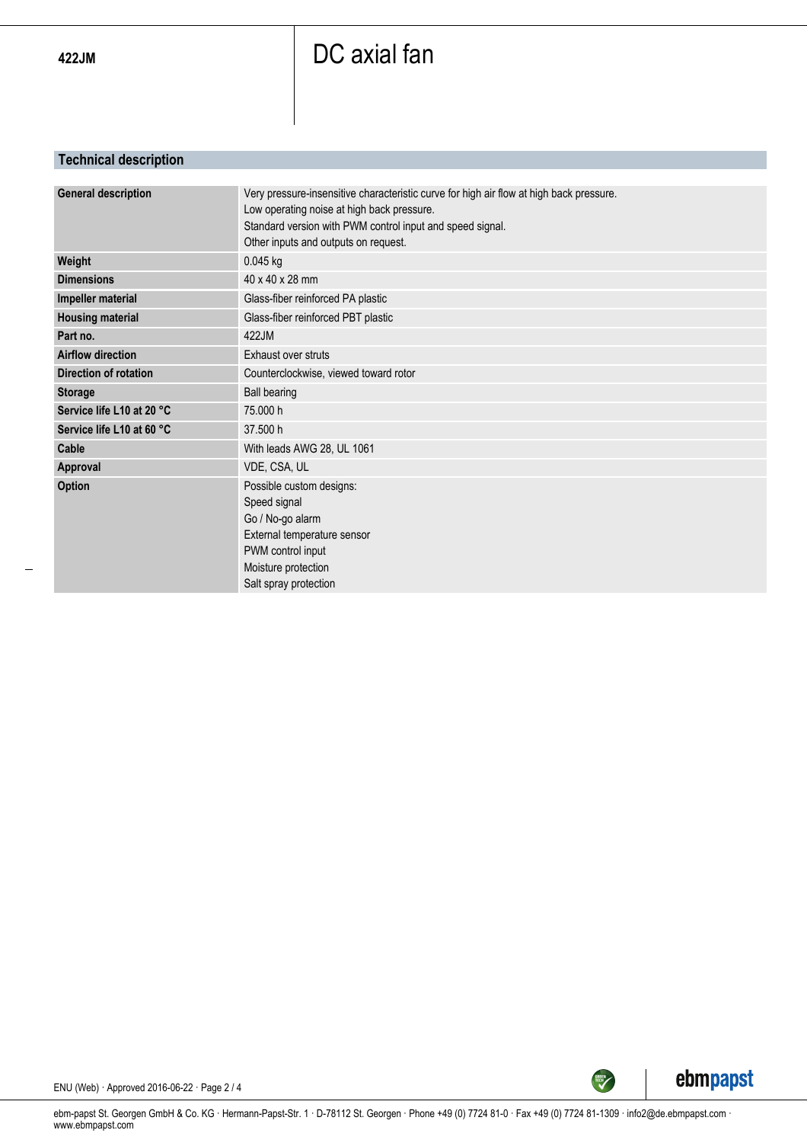### **Technical description**

| <b>General description</b>   | Very pressure-insensitive characteristic curve for high air flow at high back pressure. |
|------------------------------|-----------------------------------------------------------------------------------------|
|                              | Low operating noise at high back pressure.                                              |
|                              | Standard version with PWM control input and speed signal.                               |
|                              | Other inputs and outputs on request.                                                    |
| Weight                       | 0.045 kg                                                                                |
| <b>Dimensions</b>            | 40 x 40 x 28 mm                                                                         |
| Impeller material            | Glass-fiber reinforced PA plastic                                                       |
| <b>Housing material</b>      | Glass-fiber reinforced PBT plastic                                                      |
| Part no.                     | 422JM                                                                                   |
| <b>Airflow direction</b>     | Exhaust over struts                                                                     |
| <b>Direction of rotation</b> | Counterclockwise, viewed toward rotor                                                   |
| <b>Storage</b>               | <b>Ball bearing</b>                                                                     |
| Service life L10 at 20 °C    | 75.000 h                                                                                |
| Service life L10 at 60 °C    | 37.500 h                                                                                |
| Cable                        | With leads AWG 28, UL 1061                                                              |
| Approval                     | VDE, CSA, UL                                                                            |
| <b>Option</b>                | Possible custom designs:                                                                |
|                              | Speed signal                                                                            |
|                              | Go / No-go alarm                                                                        |
|                              | External temperature sensor                                                             |
|                              | PWM control input                                                                       |
|                              | Moisture protection                                                                     |
|                              | Salt spray protection                                                                   |
|                              |                                                                                         |



ENU (Web) · Approved 2016-06-22 · Page 2 / 4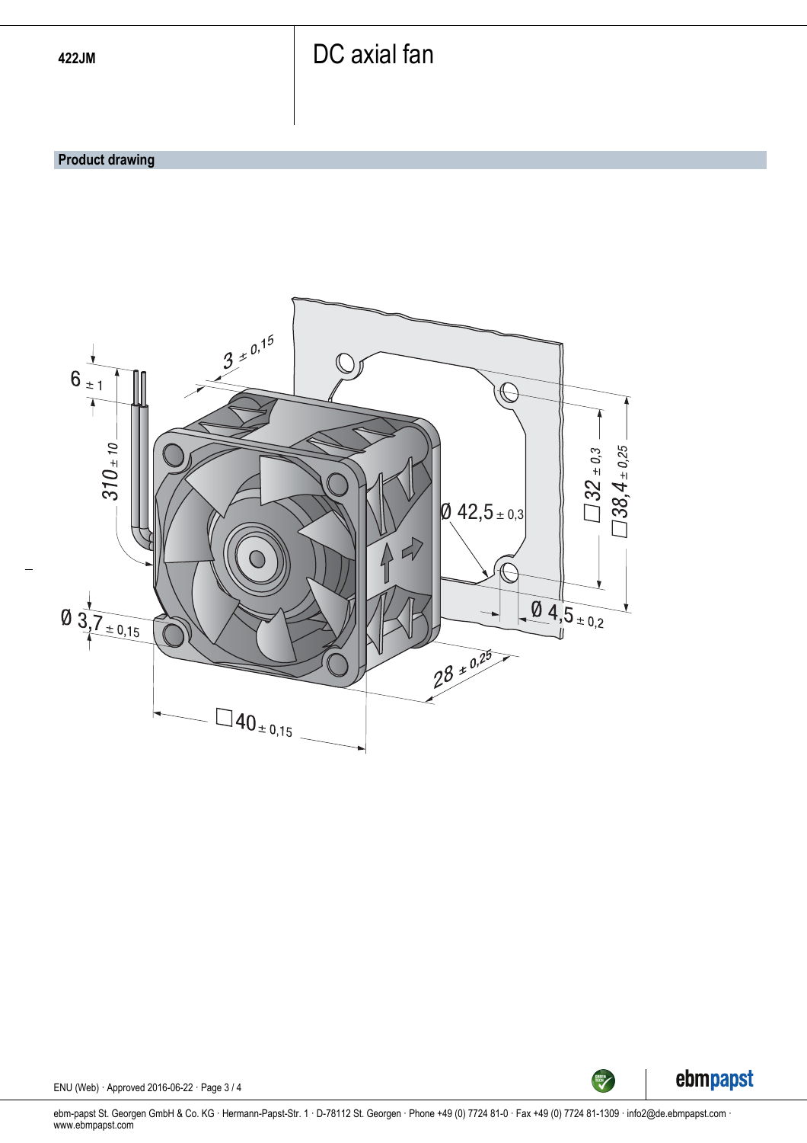#### **Product drawing**





ENU (Web) · Approved 2016-06-22 · Page 3 / 4

ebm-papst St. Georgen GmbH & Co. KG · Hermann-Papst-Str. 1 · D-78112 St. Georgen · Phone +49 (0) 7724 81-0 · Fax +49 (0) 7724 81-1309 · info2@de.ebmpapst.com · www.ebmpapst.com